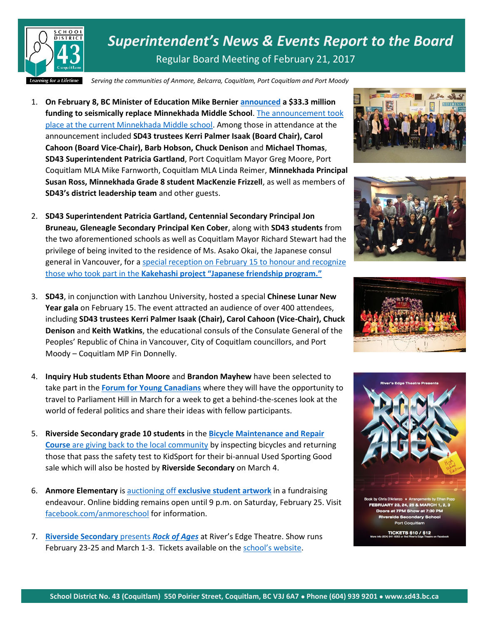

*Superintendent's News & Events Report to the Board* Regular Board Meeting of February 21, 2017

*Serving the communities of Anmore, Belcarra, Coquitlam, Port Coquitlam and Port Moody*

- 1. **On February 8, BC Minister of Education Mike Bernier [announced](https://news.gov.bc.ca/releases/2017EDUC0022-000257) a \$33.3 million funding to seismically replace Minnekhada Middle School**. [The announcement took](http://www.sd43.bc.ca/Pages/newsitem.aspx?ItemID=380&ListID=ed550773-e9ff-4e20-9964-4e1b213f518c&TemplateID=Announcement_Item)  [place at the current Minnekhada Middle school.](http://www.sd43.bc.ca/Pages/newsitem.aspx?ItemID=380&ListID=ed550773-e9ff-4e20-9964-4e1b213f518c&TemplateID=Announcement_Item) Among those in attendance at the announcement included **SD43 trustees Kerri Palmer Isaak (Board Chair), Carol Cahoon (Board Vice-Chair), Barb Hobson, Chuck Denison** and **Michael Thomas**, **SD43 Superintendent Patricia Gartland**, Port Coquitlam Mayor Greg Moore, Port Coquitlam MLA Mike Farnworth, Coquitlam MLA Linda Reimer, **Minnekhada Principal Susan Ross, Minnekhada Grade 8 student MacKenzie Frizzell**, as well as members of **SD43's district leadership team** and other guests.
- 2. **SD43 Superintendent Patricia Gartland, Centennial Secondary Principal Jon Bruneau, Gleneagle Secondary Principal Ken Cober**, along with **SD43 students** from the two aforementioned schools as well as Coquitlam Mayor Richard Stewart had the privilege of being invited to the residence of Ms. Asako Okai, the Japanese consul general in Vancouver, for [a special reception on February 15 to honour and recognize](http://www.sd43.bc.ca/Pages/newsitem.aspx?ItemID=108&ListID=c4134e88-bc0d-484f-9d4d-93c69db7f94f&TemplateID=Announcement_Item)  those who took part in the **[Kakehashi project "Japanese friendship program."](http://www.sd43.bc.ca/Pages/newsitem.aspx?ItemID=108&ListID=c4134e88-bc0d-484f-9d4d-93c69db7f94f&TemplateID=Announcement_Item)**
- 3. **SD43**, in conjunction with Lanzhou University, hosted a special **Chinese Lunar New Year gala** on February 15. The event attracted an audience of over 400 attendees, including **SD43 trustees Kerri Palmer Isaak (Chair), Carol Cahoon (Vice-Chair), Chuck Denison** and **Keith Watkins**, the educational consuls of the Consulate General of the Peoples' Republic of China in Vancouver, City of Coquitlam councillors, and Port Moody – Coquitlam MP Fin Donnelly.
- 4. **Inquiry Hub students Ethan Moore** and **Brandon Mayhew** have been selected to take part in the **[Forum for Young Canadians](http://forum.ca/the-program/for-students/?lang=en)** where they will have the opportunity to travel to Parliament Hill in March for a week to get a behind-the-scenes look at the world of federal politics and share their ideas with fellow participants.
- 5. **Riverside Secondary grade 10 students** in the **[Bicycle Maintenance and Repair](http://www.tricitynews.com/news/port-coquitlam-bike-repair-students-gear-up-for-kidsport-sale-1.9914651)  Course** [are giving back to the local community](http://www.tricitynews.com/news/port-coquitlam-bike-repair-students-gear-up-for-kidsport-sale-1.9914651) by inspecting bicycles and returning those that pass the safety test to KidSport for their bi-annual Used Sporting Good sale which will also be hosted by **Riverside Secondary** on March 4.
- 6. **Anmore Elementary** is auctioning off **[exclusive student artwork](http://www.sd43.bc.ca/school/anmore/Pages/newsitem.aspx?ItemID=107&ListID=be8444cb-2934-48cb-9af6-cfb94a696c93&TemplateID=Announcement_Item)** in a fundraising endeavour. Online bidding remains open until 9 p.m. on Saturday, February 25. Visit <facebook.com/anmoreschool> for information.
- 7. **[Riverside Secondary](http://www.tricitynews.com/entertainment/long-hair-loud-guitars-for-port-coquitlam-high-school-musical-1.9900112)** presents *Rock of Ages* at River's Edge Theatre. Show runs February 23-25 and March 1-3. Tickets available on the [school's website](https://sd43.schoolcashonline.com/Fee/Details/5034/108/False/True).









**TICKETS \$10 / \$12**<br>0.941 6053 or find Biver's Edge Theat